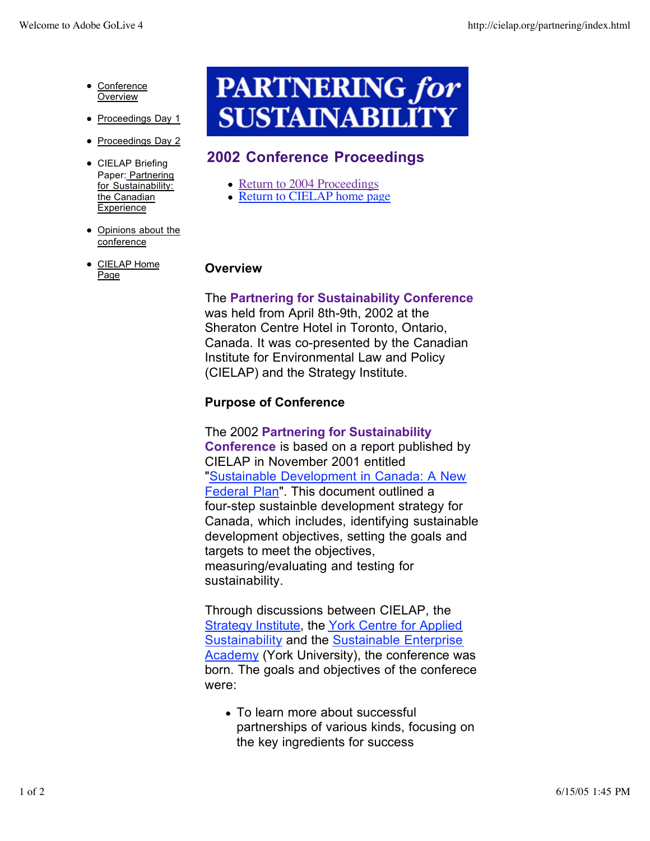- Conference **Overview**
- Proceedings Day 1
- Proceedings Day 2
- CIELAP Briefing Paper: Partnering for Sustainability: the Canadian Experience
- Opinions about the conference
- CIELAP Home Page

# **PARTNERING for SUSTAINABILITY**

# **2002 Conference Proceedings**

- Return to 2004 Proceedings
- Return to CIELAP home page

#### **Overview**

The **Partnering for Sustainability Conference** was held from April 8th-9th, 2002 at the Sheraton Centre Hotel in Toronto, Ontario, Canada. It was co-presented by the Canadian Institute for Environmental Law and Policy (CIELAP) and the Strategy Institute.

# **Purpose of Conference**

The 2002 **Partnering for Sustainability Conference** is based on a report published by CIELAP in November 2001 entitled "Sustainable Development in Canada: A New Federal Plan". This document outlined a four-step sustainble development strategy for Canada, which includes, identifying sustainable development objectives, setting the goals and targets to meet the objectives, measuring/evaluating and testing for sustainability.

Through discussions between CIELAP, the Strategy Institute, the York Centre for Applied Sustainability and the Sustainable Enterprise Academy (York University), the conference was born. The goals and objectives of the conferece were:

To learn more about successful partnerships of various kinds, focusing on the key ingredients for success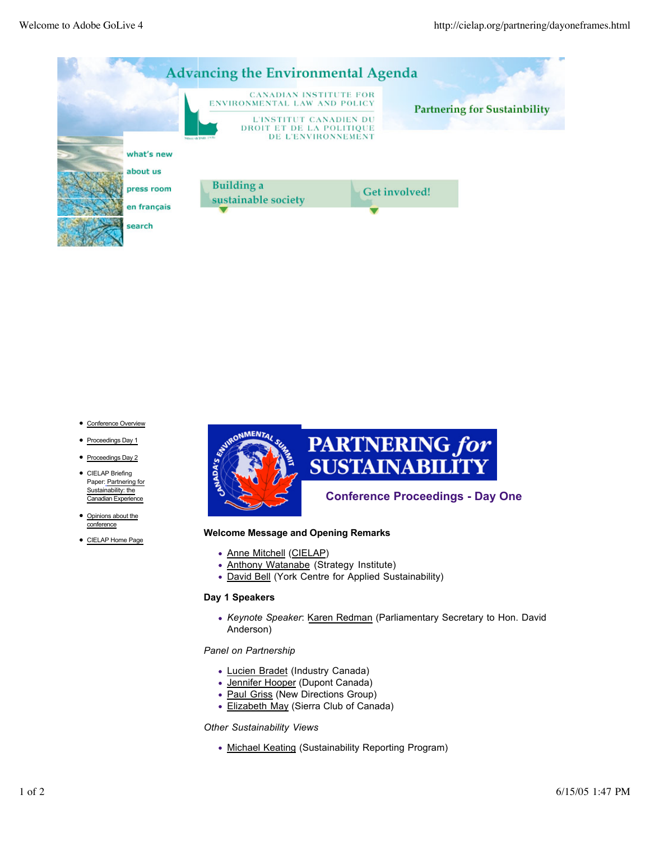

# **PARTNERING for SUSTAINABILITY**

### **Conference Proceedings - Day One**

#### **Welcome Message and Opening Remarks**

- Anne Mitchell (CIELAP)
- Anthony Watanabe (Strategy Institute)
- David Bell (York Centre for Applied Sustainability)

#### **Day 1 Speakers**

*Keynote Speaker*: Karen Redman (Parliamentary Secretary to Hon. David Anderson)

*Panel on Partnership*

- Lucien Bradet (Industry Canada)
- Jennifer Hooper (Dupont Canada)
- Paul Griss (New Directions Group)
- Elizabeth May (Sierra Club of Canada)

*Other Sustainability Views*

• Michael Keating (Sustainability Reporting Program)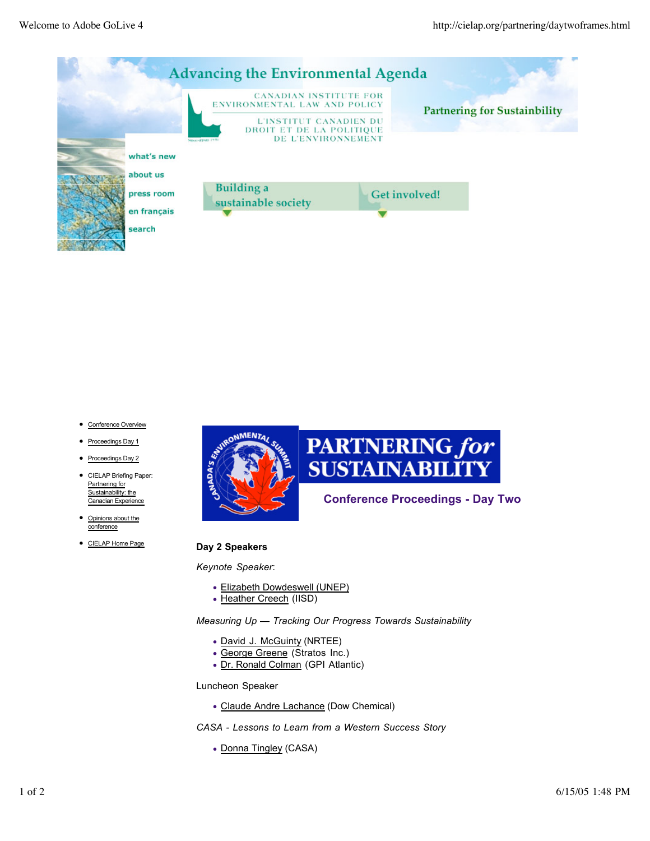

# **PARTNERING for SUSTAINABILITY**

### **Conference Proceedings - Day Two**

#### **Day 2 Speakers**

*Keynote Speaker*:

- Elizabeth Dowdeswell (UNEP)
- Heather Creech (IISD)

*Measuring Up — Tracking Our Progress Towards Sustainability*

- David J. McGuinty (NRTEE)
- George Greene (Stratos Inc.)
- Dr. Ronald Colman (GPI Atlantic)

Luncheon Speaker

Claude Andre Lachance (Dow Chemical)

*CASA - Lessons to Learn from a Western Success Story*

• Donna Tingley (CASA)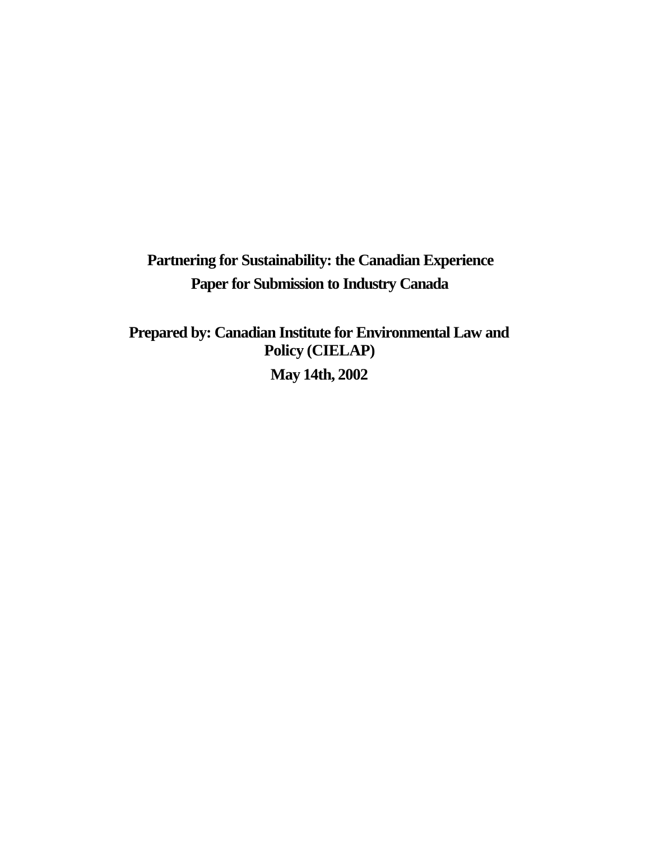**Partnering for Sustainability: the Canadian Experience Paper for Submission to Industry Canada**

**Prepared by: Canadian Institute for Environmental Law and Policy (CIELAP) May 14th, 2002**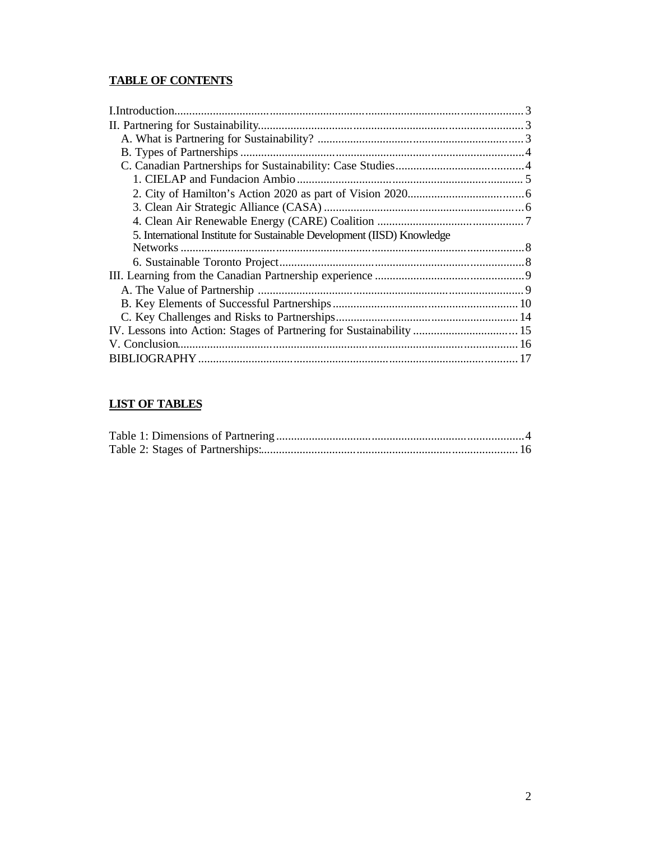# **TABLE OF CONTENTS**

| 5. International Institute for Sustainable Development (IISD) Knowledge |  |
|-------------------------------------------------------------------------|--|
|                                                                         |  |
|                                                                         |  |
|                                                                         |  |
|                                                                         |  |
|                                                                         |  |
|                                                                         |  |
| IV. Lessons into Action: Stages of Partnering for Sustainability  15    |  |
|                                                                         |  |
|                                                                         |  |
|                                                                         |  |

# **LIST OF TABLES**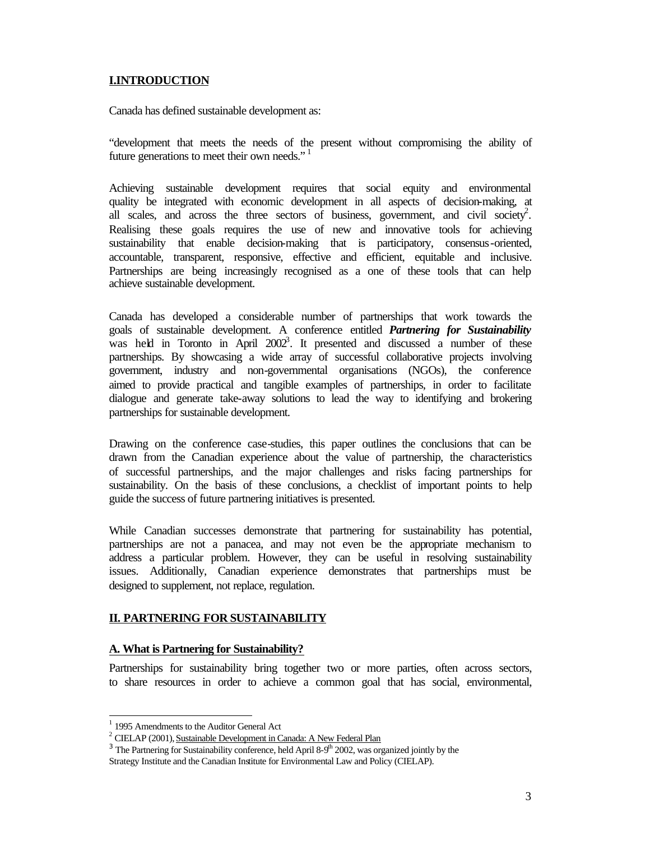#### **I.INTRODUCTION**

Canada has defined sustainable development as:

"development that meets the needs of the present without compromising the ability of future generations to meet their own needs."<sup>1</sup>

Achieving sustainable development requires that social equity and environmental quality be integrated with economic development in all aspects of decision-making, at all scales, and across the three sectors of business, government, and civil society<sup>2</sup>. Realising these goals requires the use of new and innovative tools for achieving sustainability that enable decision-making that is participatory, consensus-oriented, accountable, transparent, responsive, effective and efficient, equitable and inclusive. Partnerships are being increasingly recognised as a one of these tools that can help achieve sustainable development.

Canada has developed a considerable number of partnerships that work towards the goals of sustainable development. A conference entitled *Partnering for Sustainability* was held in Toronto in April  $2002^3$ . It presented and discussed a number of these partnerships. By showcasing a wide array of successful collaborative projects involving government, industry and non-governmental organisations (NGOs), the conference aimed to provide practical and tangible examples of partnerships, in order to facilitate dialogue and generate take-away solutions to lead the way to identifying and brokering partnerships for sustainable development.

Drawing on the conference case-studies, this paper outlines the conclusions that can be drawn from the Canadian experience about the value of partnership, the characteristics of successful partnerships, and the major challenges and risks facing partnerships for sustainability. On the basis of these conclusions, a checklist of important points to help guide the success of future partnering initiatives is presented.

While Canadian successes demonstrate that partnering for sustainability has potential, partnerships are not a panacea, and may not even be the appropriate mechanism to address a particular problem. However, they can be useful in resolving sustainability issues. Additionally, Canadian experience demonstrates that partnerships must be designed to supplement, not replace, regulation.

#### **II. PARTNERING FOR SUSTAINABILITY**

#### **A. What is Partnering for Sustainability?**

Partnerships for sustainability bring together two or more parties, often across sectors, to share resources in order to achieve a common goal that has social, environmental,

 1 1995 Amendments to the Auditor General Act

<sup>&</sup>lt;sup>2</sup> CIELAP (2001), Sustainable Development in Canada: A New Federal Plan

 $3$  The Partnering for Sustainability conference, held April 8-9<sup>th</sup> 2002, was organized jointly by the

Strategy Institute and the Canadian Institute for Environmental Law and Policy (CIELAP).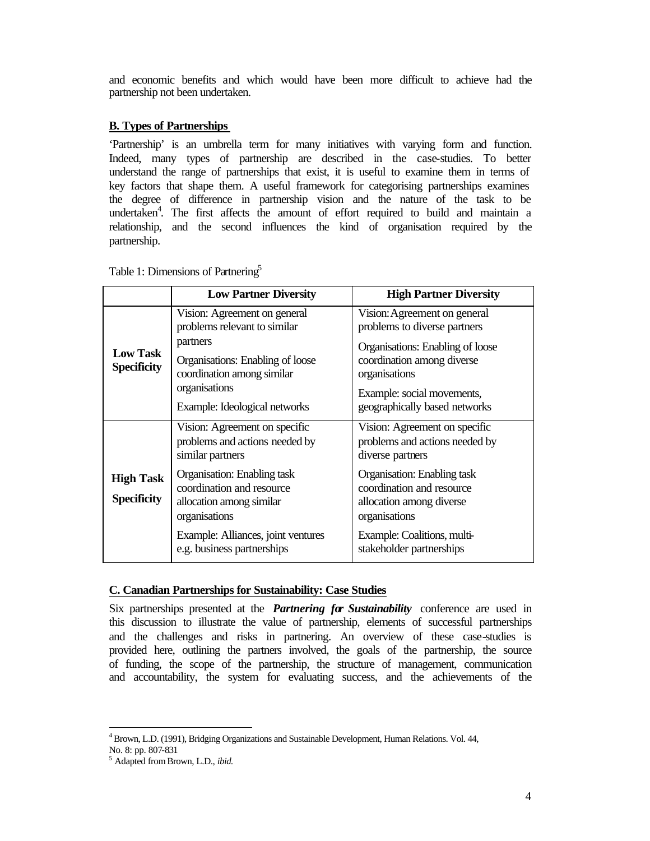and economic benefits and which would have been more difficult to achieve had the partnership not been undertaken.

#### **B. Types of Partnerships**

'Partnership' is an umbrella term for many initiatives with varying form and function. Indeed, many types of partnership are described in the case-studies. To better understand the range of partnerships that exist, it is useful to examine them in terms of key factors that shape them. A useful framework for categorising partnerships examines the degree of difference in partnership vision and the nature of the task to be undertaken<sup>4</sup>. The first affects the amount of effort required to build and maintain a relationship, and the second influences the kind of organisation required by the partnership.

|                                        | <b>Low Partner Diversity</b>                                                                                                                                | <b>High Partner Diversity</b>                                                                                                                   |
|----------------------------------------|-------------------------------------------------------------------------------------------------------------------------------------------------------------|-------------------------------------------------------------------------------------------------------------------------------------------------|
| <b>Low Task</b><br><b>Specificity</b>  | Vision: Agreement on general<br>problems relevant to similar<br>partners<br>Organisations: Enabling of loose<br>coordination among similar<br>organisations | Vision: Agreement on general<br>problems to diverse partners<br>Organisations: Enabling of loose<br>coordination among diverse<br>organisations |
|                                        | Example: Ideological networks                                                                                                                               | Example: social movements,<br>geographically based networks                                                                                     |
|                                        | Vision: Agreement on specific<br>problems and actions needed by<br>similar partners                                                                         | Vision: Agreement on specific<br>problems and actions needed by<br>diverse partners                                                             |
| <b>High Task</b><br><b>Specificity</b> | Organisation: Enabling task<br>coordination and resource<br>allocation among similar<br>organisations                                                       | Organisation: Enabling task<br>coordination and resource<br>allocation among diverse<br>organisations                                           |
|                                        | Example: Alliances, joint ventures<br>e.g. business partnerships                                                                                            | Example: Coalitions, multi-<br>stakeholder partnerships                                                                                         |

Table 1: Dimensions of Partnering<sup>5</sup>

#### **C. Canadian Partnerships for Sustainability: Case Studies**

Six partnerships presented at the *Partnering for Sustainability* conference are used in this discussion to illustrate the value of partnership, elements of successful partnerships and the challenges and risks in partnering. An overview of these case-studies is provided here, outlining the partners involved, the goals of the partnership, the source of funding, the scope of the partnership, the structure of management, communication and accountability, the system for evaluating success, and the achievements of the

 $4Brown, L.D.$  (1991), Bridging Organizations and Sustainable Development, Human Relations. Vol. 44, No. 8: pp. 807-831

<sup>5</sup> Adapted from Brown, L.D., *ibid.*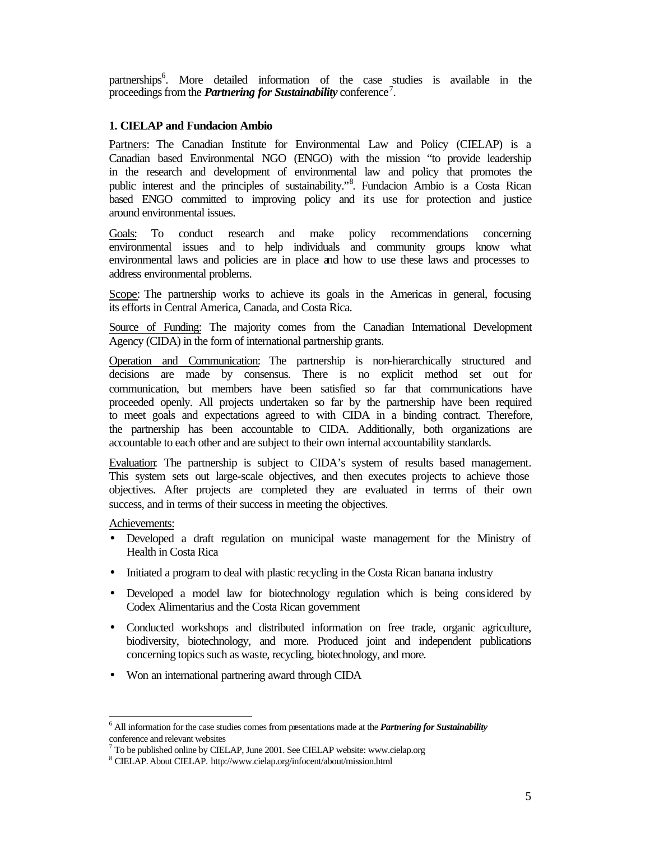partnerships<sup>6</sup>. More detailed information of the case studies is available in the proceedings from the *Partnering for Sustainability* conference<sup>7</sup>.

#### **1. CIELAP and Fundacion Ambio**

Partners: The Canadian Institute for Environmental Law and Policy (CIELAP) is a Canadian based Environmental NGO (ENGO) with the mission "to provide leadership in the research and development of environmental law and policy that promotes the public interest and the principles of sustainability."<sup>8</sup>. Fundacion Ambio is a Costa Rican based ENGO committed to improving policy and its use for protection and justice around environmental issues.

Goals: To conduct research and make policy recommendations concerning environmental issues and to help individuals and community groups know what environmental laws and policies are in place and how to use these laws and processes to address environmental problems.

Scope: The partnership works to achieve its goals in the Americas in general, focusing its efforts in Central America, Canada, and Costa Rica.

Source of Funding: The majority comes from the Canadian International Development Agency (CIDA) in the form of international partnership grants.

Operation and Communication: The partnership is non-hierarchically structured and decisions are made by consensus. There is no explicit method set out for communication, but members have been satisfied so far that communications have proceeded openly. All projects undertaken so far by the partnership have been required to meet goals and expectations agreed to with CIDA in a binding contract. Therefore, the partnership has been accountable to CIDA. Additionally, both organizations are accountable to each other and are subject to their own internal accountability standards.

Evaluation: The partnership is subject to CIDA's system of results based management. This system sets out large-scale objectives, and then executes projects to achieve those objectives. After projects are completed they are evaluated in terms of their own success, and in terms of their success in meeting the objectives.

Achievements:

- Developed a draft regulation on municipal waste management for the Ministry of Health in Costa Rica
- Initiated a program to deal with plastic recycling in the Costa Rican banana industry
- Developed a model law for biotechnology regulation which is being considered by Codex Alimentarius and the Costa Rican government
- Conducted workshops and distributed information on free trade, organic agriculture, biodiversity, biotechnology, and more. Produced joint and independent publications concerning topics such as waste, recycling, biotechnology, and more.
- Won an international partnering award through CIDA

<sup>6</sup> All information for the case studies comes from presentations made at the *Partnering for Sustainability*  conference and relevant websites

<sup>7</sup> To be published online by CIELAP, June 2001. See CIELAP website: www.cielap.org

<sup>8</sup> CIELAP. About CIELAP. http://www.cielap.org/infocent/about/mission.html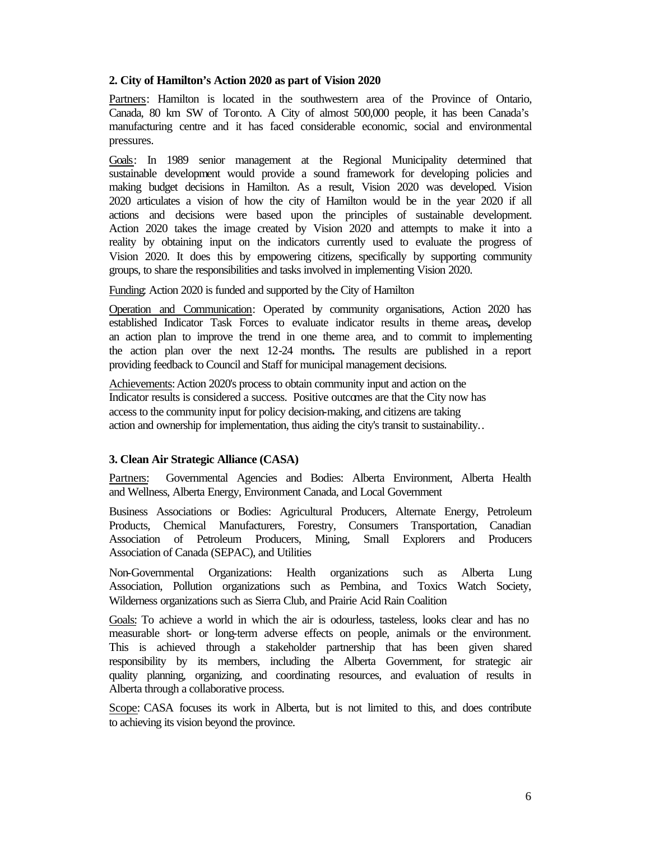#### **2. City of Hamilton's Action 2020 as part of Vision 2020**

Partners: Hamilton is located in the southwestern area of the Province of Ontario, Canada, 80 km SW of Toronto. A City of almost 500,000 people, it has been Canada's manufacturing centre and it has faced considerable economic, social and environmental pressures.

Goals: In 1989 senior management at the Regional Municipality determined that sustainable development would provide a sound framework for developing policies and making budget decisions in Hamilton. As a result, Vision 2020 was developed. Vision 2020 articulates a vision of how the city of Hamilton would be in the year 2020 if all actions and decisions were based upon the principles of sustainable development. Action 2020 takes the image created by Vision 2020 and attempts to make it into a reality by obtaining input on the indicators currently used to evaluate the progress of Vision 2020. It does this by empowering citizens, specifically by supporting community groups, to share the responsibilities and tasks involved in implementing Vision 2020.

Funding: Action 2020 is funded and supported by the City of Hamilton

Operation and Communication: Operated by community organisations, Action 2020 has established Indicator Task Forces to evaluate indicator results in theme areas**,** develop an action plan to improve the trend in one theme area, and to commit to implementing the action plan over the next 12-24 months**.** The results are published in a report providing feedback to Council and Staff for municipal management decisions.

Achievements: Action 2020's process to obtain community input and action on the Indicator results is considered a success. Positive outcomes are that the City now has access to the community input for policy decision-making, and citizens are taking action and ownership for implementation, thus aiding the city's transit to sustainability..

#### **3. Clean Air Strategic Alliance (CASA)**

Partners: Governmental Agencies and Bodies: Alberta Environment, Alberta Health and Wellness, Alberta Energy, Environment Canada, and Local Government

Business Associations or Bodies: Agricultural Producers, Alternate Energy, Petroleum Products, Chemical Manufacturers, Forestry, Consumers Transportation, Canadian Association of Petroleum Producers, Mining, Small Explorers and Producers Association of Canada (SEPAC), and Utilities

Non-Governmental Organizations: Health organizations such as Alberta Lung Association, Pollution organizations such as Pembina, and Toxics Watch Society, Wilderness organizations such as Sierra Club, and Prairie Acid Rain Coalition

Goals: To achieve a world in which the air is odourless, tasteless, looks clear and has no measurable short- or long-term adverse effects on people, animals or the environment. This is achieved through a stakeholder partnership that has been given shared responsibility by its members, including the Alberta Government, for strategic air quality planning, organizing, and coordinating resources, and evaluation of results in Alberta through a collaborative process.

Scope: CASA focuses its work in Alberta, but is not limited to this, and does contribute to achieving its vision beyond the province.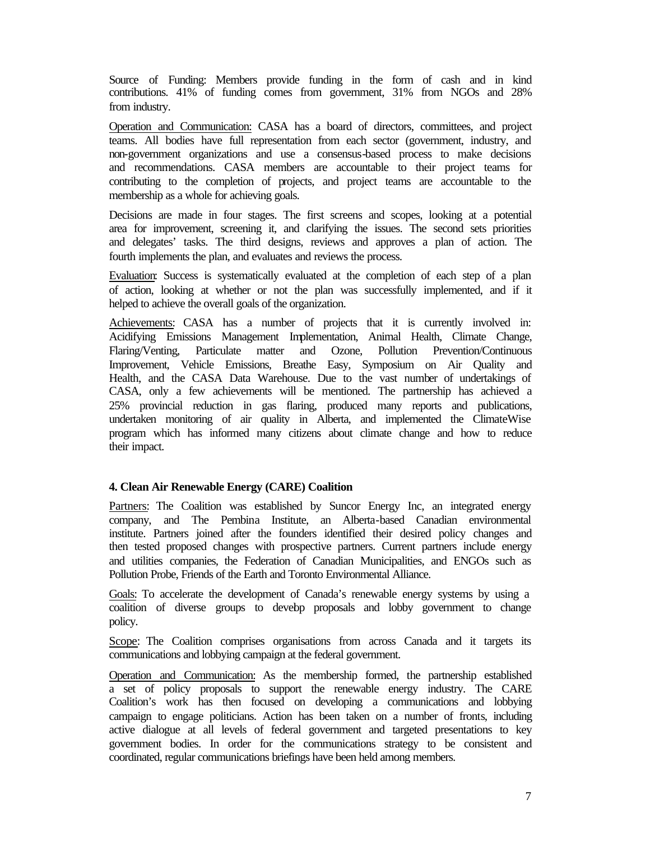Source of Funding: Members provide funding in the form of cash and in kind contributions. 41% of funding comes from government, 31% from NGOs and 28% from industry.

Operation and Communication: CASA has a board of directors, committees, and project teams. All bodies have full representation from each sector (government, industry, and non-government organizations and use a consensus-based process to make decisions and recommendations. CASA members are accountable to their project teams for contributing to the completion of projects, and project teams are accountable to the membership as a whole for achieving goals.

Decisions are made in four stages. The first screens and scopes, looking at a potential area for improvement, screening it, and clarifying the issues. The second sets priorities and delegates' tasks. The third designs, reviews and approves a plan of action. The fourth implements the plan, and evaluates and reviews the process.

Evaluation: Success is systematically evaluated at the completion of each step of a plan of action, looking at whether or not the plan was successfully implemented, and if it helped to achieve the overall goals of the organization.

Achievements: CASA has a number of projects that it is currently involved in: Acidifying Emissions Management Implementation, Animal Health, Climate Change, Flaring/Venting, Particulate matter and Ozone, Pollution Prevention/Continuous Improvement, Vehicle Emissions, Breathe Easy, Symposium on Air Quality and Health, and the CASA Data Warehouse. Due to the vast number of undertakings of CASA, only a few achievements will be mentioned. The partnership has achieved a 25% provincial reduction in gas flaring, produced many reports and publications, undertaken monitoring of air quality in Alberta, and implemented the ClimateWise program which has informed many citizens about climate change and how to reduce their impact.

#### **4. Clean Air Renewable Energy (CARE) Coalition**

Partners: The Coalition was established by Suncor Energy Inc, an integrated energy company, and The Pembina Institute, an Alberta-based Canadian environmental institute. Partners joined after the founders identified their desired policy changes and then tested proposed changes with prospective partners. Current partners include energy and utilities companies, the Federation of Canadian Municipalities, and ENGOs such as Pollution Probe, Friends of the Earth and Toronto Environmental Alliance.

Goals: To accelerate the development of Canada's renewable energy systems by using a coalition of diverse groups to develop proposals and lobby government to change policy.

Scope: The Coalition comprises organisations from across Canada and it targets its communications and lobbying campaign at the federal government.

Operation and Communication: As the membership formed, the partnership established a set of policy proposals to support the renewable energy industry. The CARE Coalition's work has then focused on developing a communications and lobbying campaign to engage politicians. Action has been taken on a number of fronts, including active dialogue at all levels of federal government and targeted presentations to key government bodies. In order for the communications strategy to be consistent and coordinated, regular communications briefings have been held among members.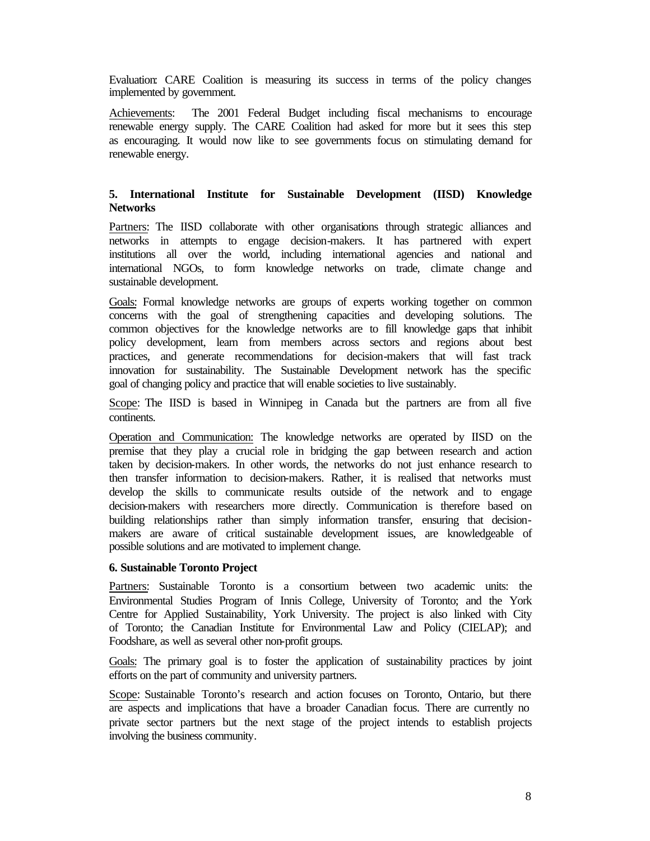Evaluation: CARE Coalition is measuring its success in terms of the policy changes implemented by government.

Achievements: The 2001 Federal Budget including fiscal mechanisms to encourage renewable energy supply. The CARE Coalition had asked for more but it sees this step as encouraging. It would now like to see governments focus on stimulating demand for renewable energy.

#### **5. International Institute for Sustainable Development (IISD) Knowledge Networks**

Partners: The IISD collaborate with other organisations through strategic alliances and networks in attempts to engage decision-makers. It has partnered with expert institutions all over the world, including international agencies and national and international NGOs, to form knowledge networks on trade, climate change and sustainable development.

Goals: Formal knowledge networks are groups of experts working together on common concerns with the goal of strengthening capacities and developing solutions. The common objectives for the knowledge networks are to fill knowledge gaps that inhibit policy development, learn from members across sectors and regions about best practices, and generate recommendations for decision-makers that will fast track innovation for sustainability. The Sustainable Development network has the specific goal of changing policy and practice that will enable societies to live sustainably.

Scope: The IISD is based in Winnipeg in Canada but the partners are from all five continents.

Operation and Communication: The knowledge networks are operated by IISD on the premise that they play a crucial role in bridging the gap between research and action taken by decision-makers. In other words, the networks do not just enhance research to then transfer information to decision-makers. Rather, it is realised that networks must develop the skills to communicate results outside of the network and to engage decision-makers with researchers more directly. Communication is therefore based on building relationships rather than simply information transfer, ensuring that decisionmakers are aware of critical sustainable development issues, are knowledgeable of possible solutions and are motivated to implement change.

#### **6. Sustainable Toronto Project**

Partners: Sustainable Toronto is a consortium between two academic units: the Environmental Studies Program of Innis College, University of Toronto; and the York Centre for Applied Sustainability, York University. The project is also linked with City of Toronto; the Canadian Institute for Environmental Law and Policy (CIELAP); and Foodshare, as well as several other non-profit groups.

Goals: The primary goal is to foster the application of sustainability practices by joint efforts on the part of community and university partners.

Scope: Sustainable Toronto's research and action focuses on Toronto, Ontario, but there are aspects and implications that have a broader Canadian focus. There are currently no private sector partners but the next stage of the project intends to establish projects involving the business community.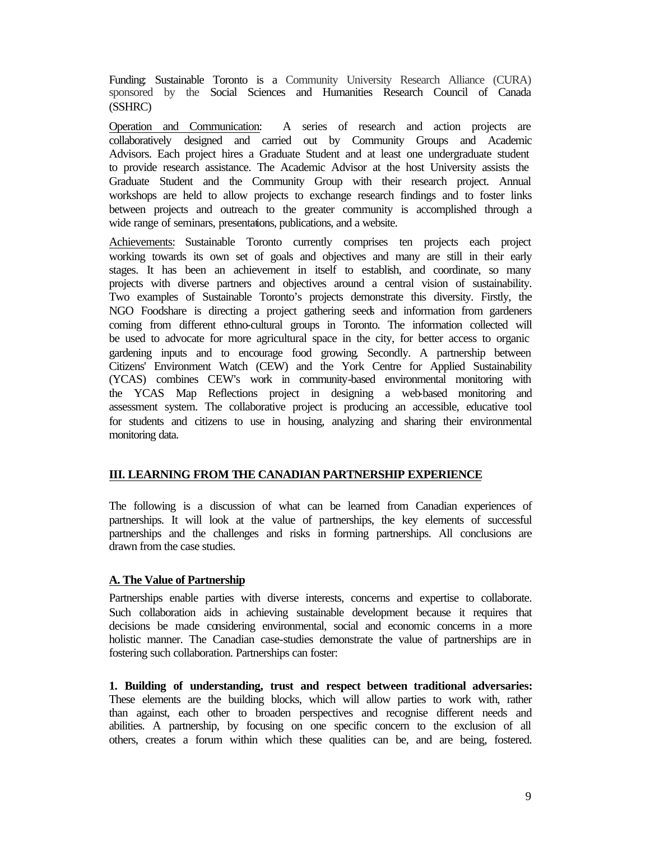Funding: Sustainable Toronto is a Community University Research Alliance (CURA) sponsored by the Social Sciences and Humanities Research Council of Canada (SSHRC)

Operation and Communication: A series of research and action projects are collaboratively designed and carried out by Community Groups and Academic Advisors. Each project hires a Graduate Student and at least one undergraduate student to provide research assistance. The Academic Advisor at the host University assists the Graduate Student and the Community Group with their research project. Annual workshops are held to allow projects to exchange research findings and to foster links between projects and outreach to the greater community is accomplished through a wide range of seminars, presentations, publications, and a website.

Achievements: Sustainable Toronto currently comprises ten projects each project working towards its own set of goals and objectives and many are still in their early stages. It has been an achievement in itself to establish, and coordinate, so many projects with diverse partners and objectives around a central vision of sustainability. Two examples of Sustainable Toronto's projects demonstrate this diversity. Firstly, the NGO Foodshare is directing a project gathering seeds and information from gardeners coming from different ethno-cultural groups in Toronto. The information collected will be used to advocate for more agricultural space in the city, for better access to organic gardening inputs and to encourage food growing. Secondly. A partnership between Citizens' Environment Watch (CEW) and the York Centre for Applied Sustainability (YCAS) combines CEW's work in community-based environmental monitoring with the YCAS Map Reflections project in designing a web-based monitoring and assessment system. The collaborative project is producing an accessible, educative tool for students and citizens to use in housing, analyzing and sharing their environmental monitoring data.

#### **III. LEARNING FROM THE CANADIAN PARTNERSHIP EXPERIENCE**

The following is a discussion of what can be learned from Canadian experiences of partnerships. It will look at the value of partnerships, the key elements of successful partnerships and the challenges and risks in forming partnerships. All conclusions are drawn from the case studies.

#### **A. The Value of Partnership**

Partnerships enable parties with diverse interests, concerns and expertise to collaborate. Such collaboration aids in achieving sustainable development because it requires that decisions be made considering environmental, social and economic concerns in a more holistic manner. The Canadian case-studies demonstrate the value of partnerships are in fostering such collaboration. Partnerships can foster:

**1. Building of understanding, trust and respect between traditional adversaries:** These elements are the building blocks, which will allow parties to work with, rather than against, each other to broaden perspectives and recognise different needs and abilities. A partnership, by focusing on one specific concern to the exclusion of all others, creates a forum within which these qualities can be, and are being, fostered.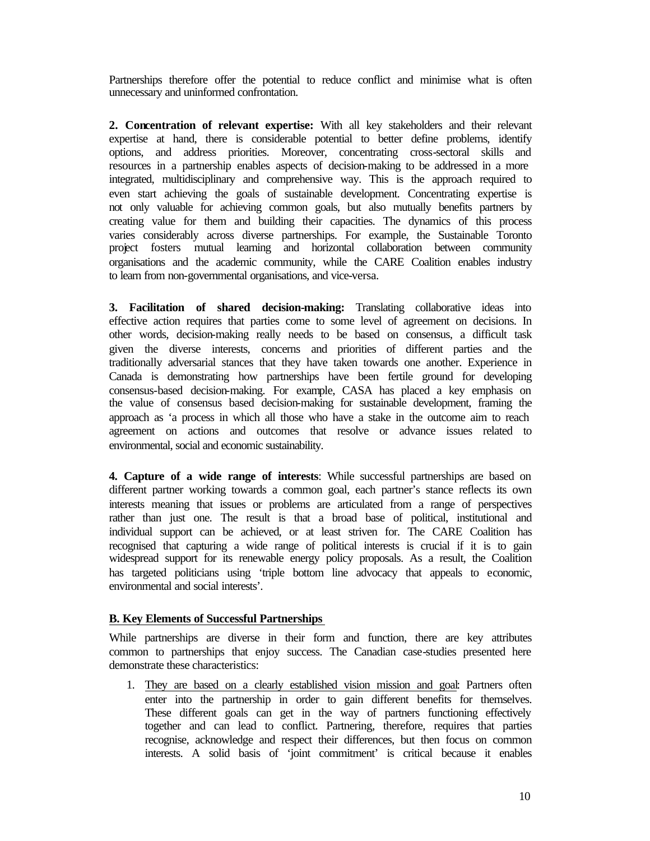Partnerships therefore offer the potential to reduce conflict and minimise what is often unnecessary and uninformed confrontation.

**2. Concentration of relevant expertise:** With all key stakeholders and their relevant expertise at hand, there is considerable potential to better define problems, identify options, and address priorities. Moreover, concentrating cross-sectoral skills and resources in a partnership enables aspects of decision-making to be addressed in a more integrated, multidisciplinary and comprehensive way. This is the approach required to even start achieving the goals of sustainable development. Concentrating expertise is not only valuable for achieving common goals, but also mutually benefits partners by creating value for them and building their capacities. The dynamics of this process varies considerably across diverse partnerships. For example, the Sustainable Toronto project fosters mutual learning and horizontal collaboration between community organisations and the academic community, while the CARE Coalition enables industry to learn from non-governmental organisations, and vice-versa.

**3. Facilitation of shared decision-making:** Translating collaborative ideas into effective action requires that parties come to some level of agreement on decisions. In other words, decision-making really needs to be based on consensus, a difficult task given the diverse interests, concerns and priorities of different parties and the traditionally adversarial stances that they have taken towards one another. Experience in Canada is demonstrating how partnerships have been fertile ground for developing consensus-based decision-making. For example, CASA has placed a key emphasis on the value of consensus based decision-making for sustainable development, framing the approach as 'a process in which all those who have a stake in the outcome aim to reach agreement on actions and outcomes that resolve or advance issues related to environmental, social and economic sustainability.

**4. Capture of a wide range of interests**: While successful partnerships are based on different partner working towards a common goal, each partner's stance reflects its own interests meaning that issues or problems are articulated from a range of perspectives rather than just one. The result is that a broad base of political, institutional and individual support can be achieved, or at least striven for. The CARE Coalition has recognised that capturing a wide range of political interests is crucial if it is to gain widespread support for its renewable energy policy proposals. As a result, the Coalition has targeted politicians using 'triple bottom line advocacy that appeals to economic, environmental and social interests'.

#### **B. Key Elements of Successful Partnerships**

While partnerships are diverse in their form and function, there are key attributes common to partnerships that enjoy success. The Canadian case-studies presented here demonstrate these characteristics:

1. They are based on a clearly established vision mission and goal: Partners often enter into the partnership in order to gain different benefits for themselves. These different goals can get in the way of partners functioning effectively together and can lead to conflict. Partnering, therefore, requires that parties recognise, acknowledge and respect their differences, but then focus on common interests. A solid basis of 'joint commitment' is critical because it enables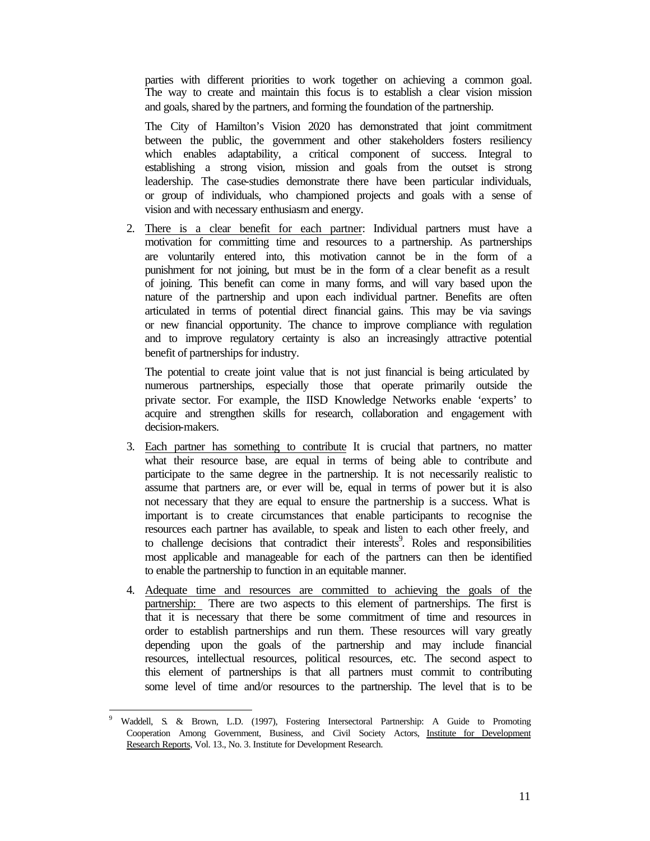parties with different priorities to work together on achieving a common goal. The way to create and maintain this focus is to establish a clear vision mission and goals, shared by the partners, and forming the foundation of the partnership.

The City of Hamilton's Vision 2020 has demonstrated that joint commitment between the public, the government and other stakeholders fosters resiliency which enables adaptability, a critical component of success. Integral to establishing a strong vision, mission and goals from the outset is strong leadership. The case-studies demonstrate there have been particular individuals, or group of individuals, who championed projects and goals with a sense of vision and with necessary enthusiasm and energy.

2. There is a clear benefit for each partner: Individual partners must have a motivation for committing time and resources to a partnership. As partnerships are voluntarily entered into, this motivation cannot be in the form of a punishment for not joining, but must be in the form of a clear benefit as a result of joining. This benefit can come in many forms, and will vary based upon the nature of the partnership and upon each individual partner. Benefits are often articulated in terms of potential direct financial gains. This may be via savings or new financial opportunity. The chance to improve compliance with regulation and to improve regulatory certainty is also an increasingly attractive potential benefit of partnerships for industry.

The potential to create joint value that is not just financial is being articulated by numerous partnerships, especially those that operate primarily outside the private sector. For example, the IISD Knowledge Networks enable 'experts' to acquire and strengthen skills for research, collaboration and engagement with decision-makers.

- 3. Each partner has something to contribute It is crucial that partners, no matter what their resource base, are equal in terms of being able to contribute and participate to the same degree in the partnership. It is not necessarily realistic to assume that partners are, or ever will be, equal in terms of power but it is also not necessary that they are equal to ensure the partnership is a success. What is important is to create circumstances that enable participants to recognise the resources each partner has available, to speak and listen to each other freely, and to challenge decisions that contradict their interests<sup>9</sup>. Roles and responsibilities most applicable and manageable for each of the partners can then be identified to enable the partnership to function in an equitable manner.
- 4. Adequate time and resources are committed to achieving the goals of the partnership: There are two aspects to this element of partnerships. The first is that it is necessary that there be some commitment of time and resources in order to establish partnerships and run them. These resources will vary greatly depending upon the goals of the partnership and may include financial resources, intellectual resources, political resources, etc. The second aspect to this element of partnerships is that all partners must commit to contributing some level of time and/or resources to the partnership. The level that is to be

 $\overline{a}$ 

<sup>9</sup> Waddell, S. & Brown, L.D. (1997), Fostering Intersectoral Partnership: A Guide to Promoting Cooperation Among Government, Business, and Civil Society Actors, Institute for Development Research Reports, Vol. 13., No. 3. Institute for Development Research.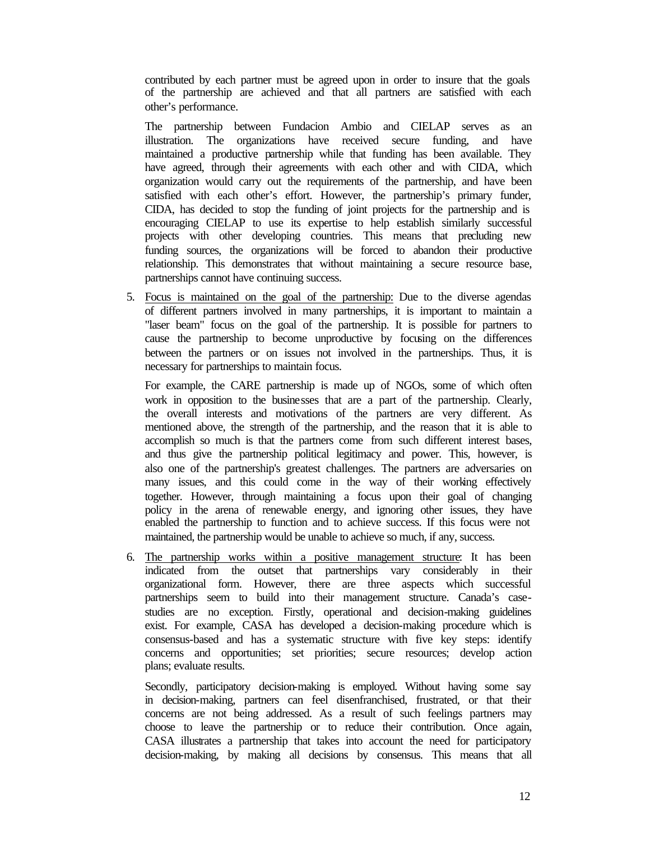contributed by each partner must be agreed upon in order to insure that the goals of the partnership are achieved and that all partners are satisfied with each other's performance.

The partnership between Fundacion Ambio and CIELAP serves as an illustration. The organizations have received secure funding, and have maintained a productive partnership while that funding has been available. They have agreed, through their agreements with each other and with CIDA, which organization would carry out the requirements of the partnership, and have been satisfied with each other's effort. However, the partnership's primary funder, CIDA, has decided to stop the funding of joint projects for the partnership and is encouraging CIELAP to use its expertise to help establish similarly successful projects with other developing countries. This means that precluding new funding sources, the organizations will be forced to abandon their productive relationship. This demonstrates that without maintaining a secure resource base, partnerships cannot have continuing success.

5. Focus is maintained on the goal of the partnership: Due to the diverse agendas of different partners involved in many partnerships, it is important to maintain a "laser beam" focus on the goal of the partnership. It is possible for partners to cause the partnership to become unproductive by focusing on the differences between the partners or on issues not involved in the partnerships. Thus, it is necessary for partnerships to maintain focus.

For example, the CARE partnership is made up of NGOs, some of which often work in opposition to the businesses that are a part of the partnership. Clearly, the overall interests and motivations of the partners are very different. As mentioned above, the strength of the partnership, and the reason that it is able to accomplish so much is that the partners come from such different interest bases, and thus give the partnership political legitimacy and power. This, however, is also one of the partnership's greatest challenges. The partners are adversaries on many issues, and this could come in the way of their working effectively together. However, through maintaining a focus upon their goal of changing policy in the arena of renewable energy, and ignoring other issues, they have enabled the partnership to function and to achieve success. If this focus were not maintained, the partnership would be unable to achieve so much, if any, success.

6. The partnership works within a positive management structure: It has been indicated from the outset that partnerships vary considerably in their organizational form. However, there are three aspects which successful partnerships seem to build into their management structure. Canada's casestudies are no exception. Firstly, operational and decision-making guidelines exist. For example, CASA has developed a decision-making procedure which is consensus-based and has a systematic structure with five key steps: identify concerns and opportunities; set priorities; secure resources; develop action plans; evaluate results.

Secondly, participatory decision-making is employed. Without having some say in decision-making, partners can feel disenfranchised, frustrated, or that their concerns are not being addressed. As a result of such feelings partners may choose to leave the partnership or to reduce their contribution. Once again, CASA illustrates a partnership that takes into account the need for participatory decision-making, by making all decisions by consensus. This means that all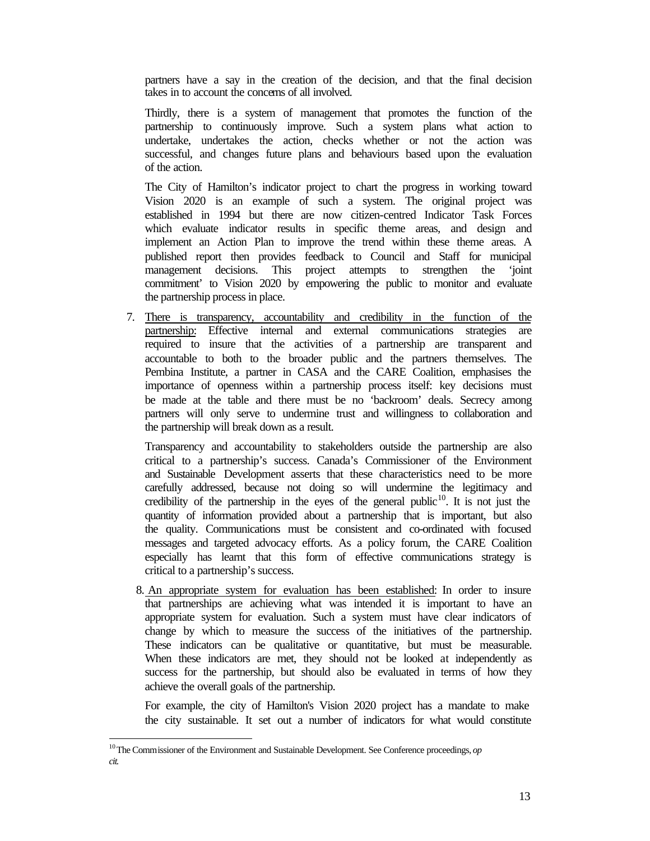partners have a say in the creation of the decision, and that the final decision takes in to account the concerns of all involved.

Thirdly, there is a system of management that promotes the function of the partnership to continuously improve. Such a system plans what action to undertake, undertakes the action, checks whether or not the action was successful, and changes future plans and behaviours based upon the evaluation of the action.

The City of Hamilton's indicator project to chart the progress in working toward Vision 2020 is an example of such a system. The original project was established in 1994 but there are now citizen-centred Indicator Task Forces which evaluate indicator results in specific theme areas, and design and implement an Action Plan to improve the trend within these theme areas. A published report then provides feedback to Council and Staff for municipal management decisions. This project attempts to strengthen the 'joint commitment' to Vision 2020 by empowering the public to monitor and evaluate the partnership process in place.

7. There is transparency, accountability and credibility in the function of the partnership: Effective internal and external communications strategies are required to insure that the activities of a partnership are transparent and accountable to both to the broader public and the partners themselves. The Pembina Institute, a partner in CASA and the CARE Coalition, emphasises the importance of openness within a partnership process itself: key decisions must be made at the table and there must be no 'backroom' deals. Secrecy among partners will only serve to undermine trust and willingness to collaboration and the partnership will break down as a result.

Transparency and accountability to stakeholders outside the partnership are also critical to a partnership's success. Canada's Commissioner of the Environment and Sustainable Development asserts that these characteristics need to be more carefully addressed, because not doing so will undermine the legitimacy and credibility of the partnership in the eyes of the general public<sup>10</sup>. It is not just the quantity of information provided about a partnership that is important, but also the quality. Communications must be consistent and co-ordinated with focused messages and targeted advocacy efforts. As a policy forum, the CARE Coalition especially has learnt that this form of effective communications strategy is critical to a partnership's success.

8. An appropriate system for evaluation has been established: In order to insure that partnerships are achieving what was intended it is important to have an appropriate system for evaluation. Such a system must have clear indicators of change by which to measure the success of the initiatives of the partnership. These indicators can be qualitative or quantitative, but must be measurable. When these indicators are met, they should not be looked at independently as success for the partnership, but should also be evaluated in terms of how they achieve the overall goals of the partnership.

For example, the city of Hamilton's Vision 2020 project has a mandate to make the city sustainable. It set out a number of indicators for what would constitute

<sup>&</sup>lt;sup>10</sup> The Commissioner of the Environment and Sustainable Development. See Conference proceedings, *op cit.*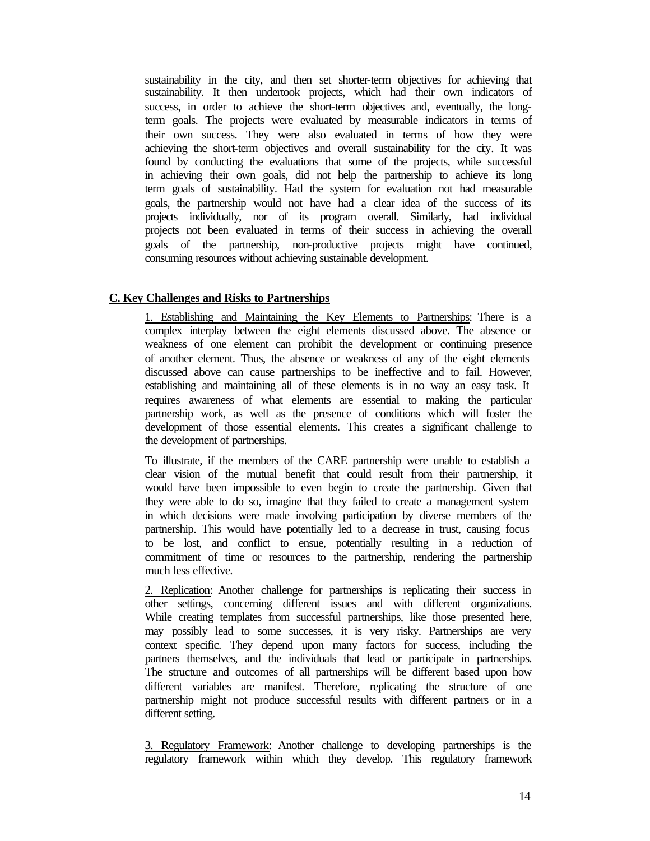sustainability in the city, and then set shorter-term objectives for achieving that sustainability. It then undertook projects, which had their own indicators of success, in order to achieve the short-term objectives and, eventually, the longterm goals. The projects were evaluated by measurable indicators in terms of their own success. They were also evaluated in terms of how they were achieving the short-term objectives and overall sustainability for the city. It was found by conducting the evaluations that some of the projects, while successful in achieving their own goals, did not help the partnership to achieve its long term goals of sustainability. Had the system for evaluation not had measurable goals, the partnership would not have had a clear idea of the success of its projects individually, nor of its program overall. Similarly, had individual projects not been evaluated in terms of their success in achieving the overall goals of the partnership, non-productive projects might have continued, consuming resources without achieving sustainable development.

#### **C. Key Challenges and Risks to Partnerships**

1. Establishing and Maintaining the Key Elements to Partnerships: There is a complex interplay between the eight elements discussed above. The absence or weakness of one element can prohibit the development or continuing presence of another element. Thus, the absence or weakness of any of the eight elements discussed above can cause partnerships to be ineffective and to fail. However, establishing and maintaining all of these elements is in no way an easy task. It requires awareness of what elements are essential to making the particular partnership work, as well as the presence of conditions which will foster the development of those essential elements. This creates a significant challenge to the development of partnerships.

To illustrate, if the members of the CARE partnership were unable to establish a clear vision of the mutual benefit that could result from their partnership, it would have been impossible to even begin to create the partnership. Given that they were able to do so, imagine that they failed to create a management system in which decisions were made involving participation by diverse members of the partnership. This would have potentially led to a decrease in trust, causing focus to be lost, and conflict to ensue, potentially resulting in a reduction of commitment of time or resources to the partnership, rendering the partnership much less effective.

2. Replication: Another challenge for partnerships is replicating their success in other settings, concerning different issues and with different organizations. While creating templates from successful partnerships, like those presented here, may possibly lead to some successes, it is very risky. Partnerships are very context specific. They depend upon many factors for success, including the partners themselves, and the individuals that lead or participate in partnerships. The structure and outcomes of all partnerships will be different based upon how different variables are manifest. Therefore, replicating the structure of one partnership might not produce successful results with different partners or in a different setting.

3. Regulatory Framework: Another challenge to developing partnerships is the regulatory framework within which they develop. This regulatory framework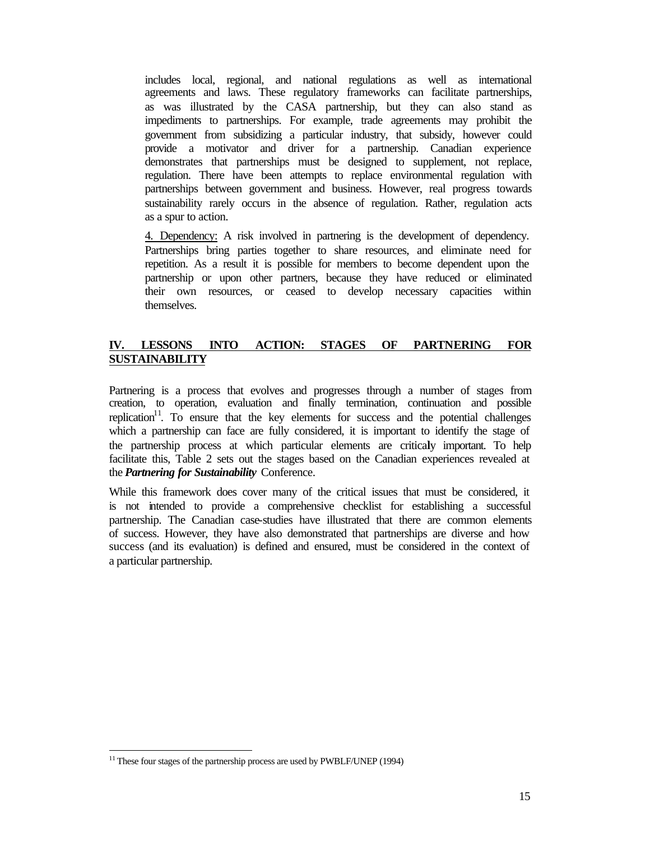includes local, regional, and national regulations as well as international agreements and laws. These regulatory frameworks can facilitate partnerships, as was illustrated by the CASA partnership, but they can also stand as impediments to partnerships. For example, trade agreements may prohibit the government from subsidizing a particular industry, that subsidy, however could provide a motivator and driver for a partnership. Canadian experience demonstrates that partnerships must be designed to supplement, not replace, regulation. There have been attempts to replace environmental regulation with partnerships between government and business. However, real progress towards sustainability rarely occurs in the absence of regulation. Rather, regulation acts as a spur to action.

4. Dependency: A risk involved in partnering is the development of dependency. Partnerships bring parties together to share resources, and eliminate need for repetition. As a result it is possible for members to become dependent upon the partnership or upon other partners, because they have reduced or eliminated their own resources, or ceased to develop necessary capacities within themselves.

#### **IV. LESSONS INTO ACTION: STAGES OF PARTNERING FOR SUSTAINABILITY**

Partnering is a process that evolves and progresses through a number of stages from creation, to operation, evaluation and finally termination, continuation and possible replication<sup>11</sup>. To ensure that the key elements for success and the potential challenges which a partnership can face are fully considered, it is important to identify the stage of the partnership process at which particular elements are criticaly important. To help facilitate this, Table 2 sets out the stages based on the Canadian experiences revealed at the *Partnering for Sustainability* Conference.

While this framework does cover many of the critical issues that must be considered, it is not intended to provide a comprehensive checklist for establishing a successful partnership. The Canadian case-studies have illustrated that there are common elements of success. However, they have also demonstrated that partnerships are diverse and how success (and its evaluation) is defined and ensured, must be considered in the context of a particular partnership.

<sup>&</sup>lt;sup>11</sup> These four stages of the partnership process are used by PWBLF/UNEP (1994)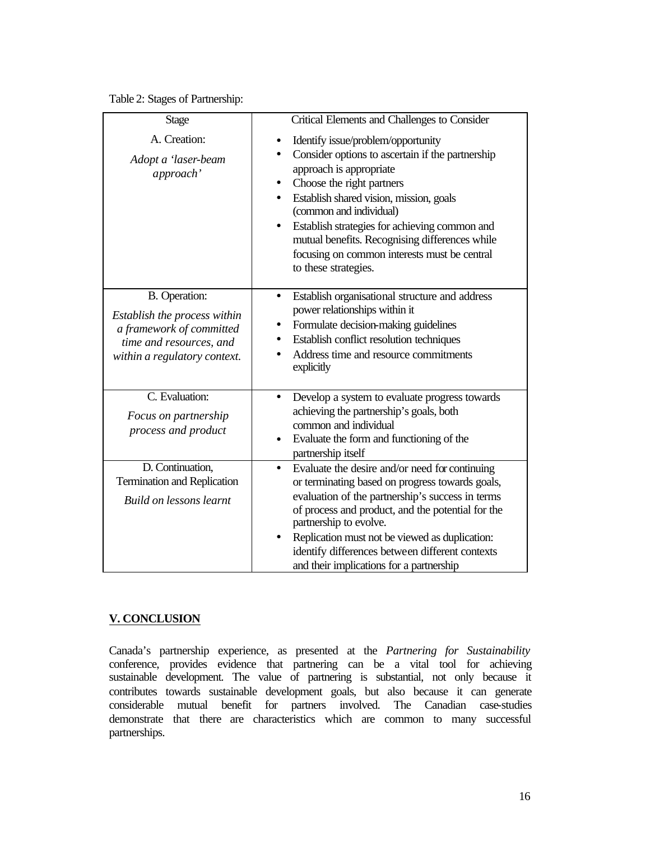|  | Table 2: Stages of Partnership: |
|--|---------------------------------|
|--|---------------------------------|

| <b>Stage</b>                                                                                                                         | Critical Elements and Challenges to Consider                                                                                                                                                                                                                                                                                                                                                                                           |
|--------------------------------------------------------------------------------------------------------------------------------------|----------------------------------------------------------------------------------------------------------------------------------------------------------------------------------------------------------------------------------------------------------------------------------------------------------------------------------------------------------------------------------------------------------------------------------------|
| A. Creation:<br>Adopt a 'laser-beam<br>approach'                                                                                     | Identify issue/problem/opportunity<br>Consider options to ascertain if the partnership<br>$\bullet$<br>approach is appropriate<br>Choose the right partners<br>Establish shared vision, mission, goals<br>$\bullet$<br>(common and individual)<br>Establish strategies for achieving common and<br>$\bullet$<br>mutual benefits. Recognising differences while<br>focusing on common interests must be central<br>to these strategies. |
| B. Operation:<br>Establish the process within<br>a framework of committed<br>time and resources, and<br>within a regulatory context. | Establish organisational structure and address<br>$\bullet$<br>power relationships within it<br>Formulate decision-making guidelines<br>$\bullet$<br>Establish conflict resolution techniques<br>Address time and resource commitments<br>$\bullet$<br>explicitly                                                                                                                                                                      |
| C. Evaluation:<br>Focus on partnership<br>process and product                                                                        | Develop a system to evaluate progress towards<br>$\bullet$<br>achieving the partnership's goals, both<br>common and individual<br>Evaluate the form and functioning of the<br>$\bullet$<br>partnership itself                                                                                                                                                                                                                          |
| D. Continuation,<br>Termination and Replication<br><b>Build on lessons learnt</b>                                                    | Evaluate the desire and/or need for continuing<br>$\bullet$<br>or terminating based on progress towards goals,<br>evaluation of the partnership's success in terms<br>of process and product, and the potential for the<br>partnership to evolve.<br>Replication must not be viewed as duplication:<br>identify differences between different contexts<br>and their implications for a partnership                                     |

#### **V. CONCLUSION**

Canada's partnership experience, as presented at the *Partnering for Sustainability* conference, provides evidence that partnering can be a vital tool for achieving sustainable development. The value of partnering is substantial, not only because it contributes towards sustainable development goals, but also because it can generate considerable mutual benefit for partners involved. The Canadian case-studies demonstrate that there are characteristics which are common to many successful partnerships.